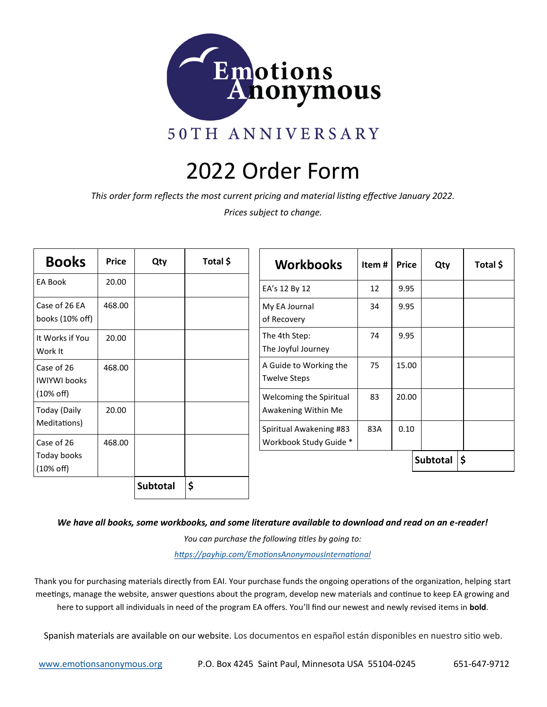

# 2022 Order Form

*This order form reflects the most current pricing and material listing effective January 2022.*

*Prices subject to change.*

| <b>Books</b>                        | <b>Price</b> | Qty             | Total \$ | <b>Workbooks</b>                                  | Item# $\vert$ | <b>Price</b> | Qty              |  |
|-------------------------------------|--------------|-----------------|----------|---------------------------------------------------|---------------|--------------|------------------|--|
| EA Book                             | 20.00        |                 |          | EA's 12 By 12                                     | 12            | 9.95         |                  |  |
| Case of 26 EA<br>books (10% off)    | 468.00       |                 |          | My EA Journal<br>of Recovery                      | 34            | 9.95         |                  |  |
| It Works if You<br>Work It          | 20.00        |                 |          | The 4th Step:<br>The Joyful Journey               | 74            | 9.95         |                  |  |
| Case of 26<br><b>IWIYWI books</b>   | 468.00       |                 |          | A Guide to Working the<br><b>Twelve Steps</b>     | 75            | 15.00        |                  |  |
| $(10\% \text{ off})$                |              |                 |          | Welcoming the Spiritual                           | 83            | 20.00        |                  |  |
| <b>Today (Daily</b><br>Meditations) | 20.00        |                 |          | Awakening Within Me                               |               |              |                  |  |
| Case of 26                          | 468.00       |                 |          | Spiritual Awakening #83<br>Workbook Study Guide * | 83A           | 0.10         |                  |  |
| Today books<br>$(10\% \text{ off})$ |              |                 |          |                                                   |               |              | Subtotal $ \xi $ |  |
|                                     |              | <b>Subtotal</b> | \$       |                                                   |               |              |                  |  |

*We have all books, some workbooks, and some literature available to download and read on an e-reader!*

*You can purchase the following titles by going to: [https://payhip.com/EmotionsAnonymousInternational](https://payhip.com/EmotionsAnonymousInternational/collection/all)*

Thank you for purchasing materials directly from EAI. Your purchase funds the ongoing operations of the organization, helping start meetings, manage the website, answer questions about the program, develop new materials and continue to keep EA growing and here to support all individuals in need of the program EA offers. You'll find our newest and newly revised items in **bold**.

Spanish materials are available on our website. Los documentos en español están disponibles en nuestro sitio web.

[www.emotionsanonymous.org](https://emotionsanonymous.org/) P.O. Box 4245 Saint Paul, Minnesota USA 55104-0245 651-647-9712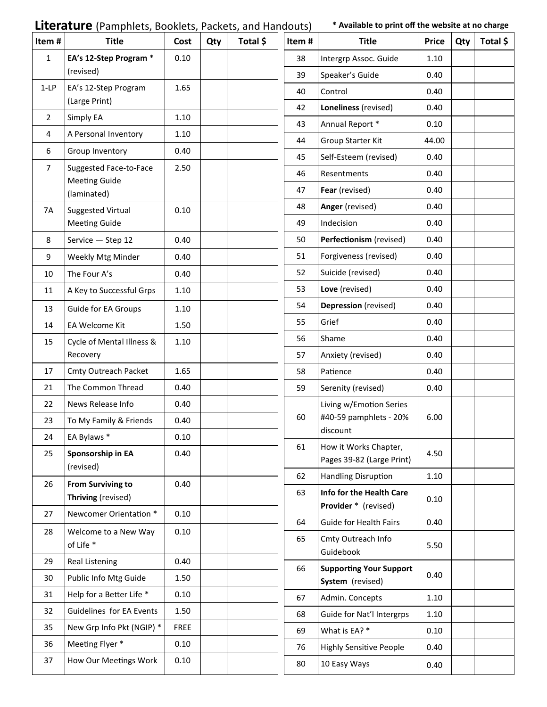# **Literature** (Pamphlets, Booklets, Packets, and Handouts) \* Available to print off the website at no charge

| Item#          | <b>Title</b>                                   | Cost        | Qty | Total \$ | Item#                        | <b>Title</b>                                       | <b>Price</b> | Qty | Total \$ |
|----------------|------------------------------------------------|-------------|-----|----------|------------------------------|----------------------------------------------------|--------------|-----|----------|
| 1              | EA's 12-Step Program *                         | 0.10        |     |          | 38                           | Intergrp Assoc. Guide                              | 1.10         |     |          |
|                | (revised)                                      |             |     |          | 39                           | Speaker's Guide                                    | 0.40         |     |          |
| $1-LP$         | EA's 12-Step Program                           | 1.65        |     |          | 40                           | Control                                            | 0.40         |     |          |
|                | (Large Print)                                  |             |     |          | 42                           | Loneliness (revised)                               | 0.40         |     |          |
| $\overline{2}$ | Simply EA                                      | 1.10        |     |          | 43                           | Annual Report *                                    | 0.10         |     |          |
| 4              | A Personal Inventory                           | 1.10        |     |          | 44                           | Group Starter Kit                                  | 44.00        |     |          |
| 6              | Group Inventory                                | 0.40        |     |          | 45                           | Self-Esteem (revised)                              | 0.40         |     |          |
| $\overline{7}$ | Suggested Face-to-Face<br><b>Meeting Guide</b> | 2.50        |     |          | 46                           | Resentments                                        | 0.40         |     |          |
|                | (laminated)                                    |             |     |          | 47                           | Fear (revised)                                     | 0.40         |     |          |
| 7A             | <b>Suggested Virtual</b>                       | 0.10        |     |          | 48                           | Anger (revised)                                    | 0.40         |     |          |
|                | <b>Meeting Guide</b>                           |             |     |          | 49                           | Indecision                                         | 0.40         |     |          |
| 8              | Service - Step 12                              | 0.40        |     |          | 50                           | Perfectionism (revised)                            | 0.40         |     |          |
| 9              | Weekly Mtg Minder                              | 0.40        |     |          | 51                           | Forgiveness (revised)                              | 0.40         |     |          |
| 10             | The Four A's                                   | 0.40        |     |          | 52                           | Suicide (revised)                                  | 0.40         |     |          |
| 11             | A Key to Successful Grps                       | 1.10        |     |          | 53                           | Love (revised)                                     | 0.40         |     |          |
| 13             | <b>Guide for EA Groups</b>                     | 1.10        |     |          | 54                           | Depression (revised)                               | 0.40         |     |          |
| 14             | EA Welcome Kit                                 | 1.50        |     |          | 55                           | Grief                                              | 0.40         |     |          |
| 15             | Cycle of Mental Illness &                      | 1.10        |     |          | 56                           | Shame                                              | 0.40         |     |          |
|                | Recovery                                       |             |     |          | 57                           | Anxiety (revised)                                  | 0.40         |     |          |
| 17             | Cmty Outreach Packet                           | 1.65        |     |          | 58                           | Patience                                           | 0.40         |     |          |
| 21             | The Common Thread                              | 0.40        |     |          | 59                           | Serenity (revised)                                 | 0.40         |     |          |
| 22             | News Release Info                              | 0.40        |     |          |                              | Living w/Emotion Series                            |              |     |          |
| 23             | To My Family & Friends                         | 0.40        |     |          | #40-59 pamphlets - 20%<br>60 |                                                    | 6.00         |     |          |
| 24             | EA Bylaws *                                    | 0.10        |     |          |                              | discount                                           |              |     |          |
| 25             | Sponsorship in EA                              | 0.40        |     |          | 61                           | How it Works Chapter,<br>Pages 39-82 (Large Print) | 4.50         |     |          |
|                | (revised)                                      |             |     |          | 62                           | Handling Disruption                                | 1.10         |     |          |
| 26             | <b>From Surviving to</b><br>Thriving (revised) | 0.40        |     |          | 63                           | Info for the Health Care<br>Provider * (revised)   | 0.10         |     |          |
| 27             | Newcomer Orientation *                         | 0.10        |     |          | 64                           | <b>Guide for Health Fairs</b>                      | 0.40         |     |          |
| 28             | Welcome to a New Way<br>of Life *              | 0.10        |     |          | 65                           | Cmty Outreach Info<br>Guidebook                    | 5.50         |     |          |
| 29             | Real Listening                                 | 0.40        |     |          | 66                           | <b>Supporting Your Support</b>                     |              |     |          |
| 30             | Public Info Mtg Guide                          | 1.50        |     |          |                              | System (revised)                                   | 0.40         |     |          |
| 31             | Help for a Better Life *                       | 0.10        |     |          | 67                           | Admin. Concepts                                    | 1.10         |     |          |
| 32             | Guidelines for EA Events                       | 1.50        |     |          | 68                           | Guide for Nat'l Intergrps                          | 1.10         |     |          |
| 35             | New Grp Info Pkt (NGIP) *                      | <b>FREE</b> |     |          | 69                           | What is EA? *                                      | 0.10         |     |          |
| 36             | Meeting Flyer *                                | 0.10        |     |          | 76                           | <b>Highly Sensitive People</b>                     | 0.40         |     |          |
|                |                                                |             |     |          |                              |                                                    |              |     |          |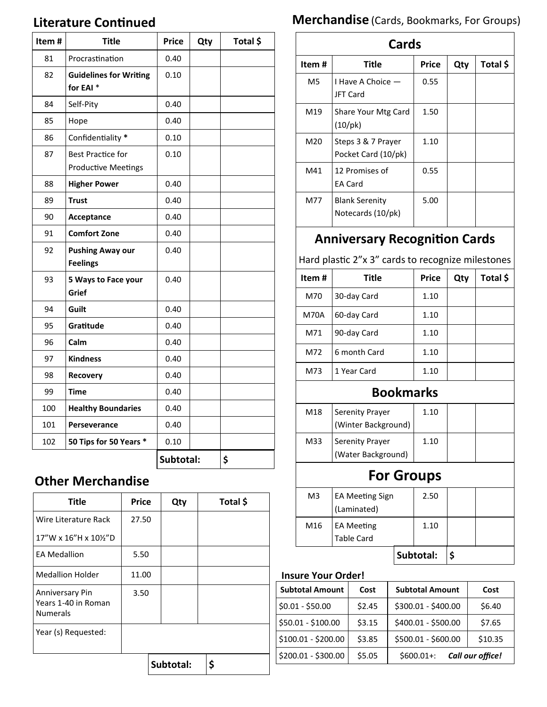#### **Literature Continued**

| Item# | <b>Title</b>                                           | <b>Price</b> | Qty | Total \$ |
|-------|--------------------------------------------------------|--------------|-----|----------|
| 81    | Procrastination                                        | 0.40         |     |          |
| 82    | <b>Guidelines for Writing</b><br>for EAI <sup>*</sup>  | 0.10         |     |          |
| 84    | Self-Pity                                              | 0.40         |     |          |
| 85    | Hope                                                   | 0.40         |     |          |
| 86    | Confidentiality *                                      | 0.10         |     |          |
| 87    | <b>Best Practice for</b><br><b>Productive Meetings</b> | 0.10         |     |          |
| 88    | <b>Higher Power</b>                                    | 0.40         |     |          |
| 89    | <b>Trust</b>                                           | 0.40         |     |          |
| 90    | Acceptance                                             | 0.40         |     |          |
| 91    | <b>Comfort Zone</b>                                    | 0.40         |     |          |
| 92    | <b>Pushing Away our</b><br><b>Feelings</b>             | 0.40         |     |          |
| 93    | 5 Ways to Face your<br>Grief                           | 0.40         |     |          |
| 94    | Guilt                                                  | 0.40         |     |          |
| 95    | Gratitude                                              | 0.40         |     |          |
| 96    | Calm                                                   | 0.40         |     |          |
| 97    | <b>Kindness</b>                                        | 0.40         |     |          |
| 98    | Recovery                                               | 0.40         |     |          |
| 99    | <b>Time</b>                                            | 0.40         |     |          |
| 100   | <b>Healthy Boundaries</b>                              | 0.40         |     |          |
| 101   | Perseverance                                           | 0.40         |     |          |
| 102   | 50 Tips for 50 Years *                                 | 0.10         |     |          |
|       |                                                        | Subtotal:    |     | \$       |

#### **Other Merchandise**

| <b>Title</b>                                              | <b>Price</b> | Qty       | Total \$ |
|-----------------------------------------------------------|--------------|-----------|----------|
| Wire Literature Rack                                      | 27.50        |           |          |
| 17"W x 16"H x 10%"D                                       |              |           |          |
| <b>EA Medallion</b>                                       | 5.50         |           |          |
| <b>Medallion Holder</b>                                   | 11.00        |           |          |
| Anniversary Pin<br>Years 1-40 in Roman<br><b>Numerals</b> | 3.50         |           |          |
| Year (s) Requested:                                       |              |           |          |
|                                                           |              | Subtotal: | \$       |

# **Merchandise** (Cards, Bookmarks, For Groups)

| Cards |                                            |              |     |          |  |
|-------|--------------------------------------------|--------------|-----|----------|--|
| Item# | <b>Title</b>                               | <b>Price</b> | Qty | Total \$ |  |
| M5    | I Have A Choice -<br>JFT Card              | 0.55         |     |          |  |
| M19   | Share Your Mtg Card<br>(10/pk)             | 1.50         |     |          |  |
| M20   | Steps 3 & 7 Prayer<br>Pocket Card (10/pk)  | 1.10         |     |          |  |
| M41   | 12 Promises of<br><b>EA Card</b>           | 0.55         |     |          |  |
| M77   | <b>Blank Serenity</b><br>Notecards (10/pk) | 5.00         |     |          |  |

### **Anniversary Recognition Cards**

Hard plastic 2"x 3" cards to recognize milestones

| Item# | Title        | <b>Price</b> | Qty | Total \$ |
|-------|--------------|--------------|-----|----------|
| M70   | 30-day Card  | 1.10         |     |          |
| M70A  | 60-day Card  | 1.10         |     |          |
| M71   | 90-day Card  | 1.10         |     |          |
| M72   | 6 month Card | 1.10         |     |          |
| M73   | 1 Year Card  | 1.10         |     |          |

#### **Bookmarks**

| M18 | <b>Serenity Prayer</b><br>(Winter Background) | 1.10 |  |
|-----|-----------------------------------------------|------|--|
| M33 | Serenity Prayer<br>(Water Background)         | 1.10 |  |

# **For Groups**

|                |                        | Subtotal: |      |  |
|----------------|------------------------|-----------|------|--|
|                | <b>Table Card</b>      |           |      |  |
| M16            | <b>EA Meeting</b>      |           | 1.10 |  |
|                | (Laminated)            |           |      |  |
| M <sub>3</sub> | <b>EA Meeting Sign</b> |           | 2.50 |  |
|                |                        |           |      |  |

#### **Insure Your Order!**

| <b>Subtotal Amount</b> | Cost   | <b>Subtotal Amount</b> | Cost             |
|------------------------|--------|------------------------|------------------|
| $$0.01 - $50.00$       | \$2.45 | \$300.01 - \$400.00    | \$6.40           |
| \$50.01 - \$100.00     | \$3.15 | \$400.01 - \$500.00    | \$7.65           |
| \$100.01 - \$200.00    | \$3.85 | \$500.01 - \$600.00    | \$10.35          |
| \$200.01 - \$300.00    | \$5.05 | $$600.01+:$            | Call our office! |